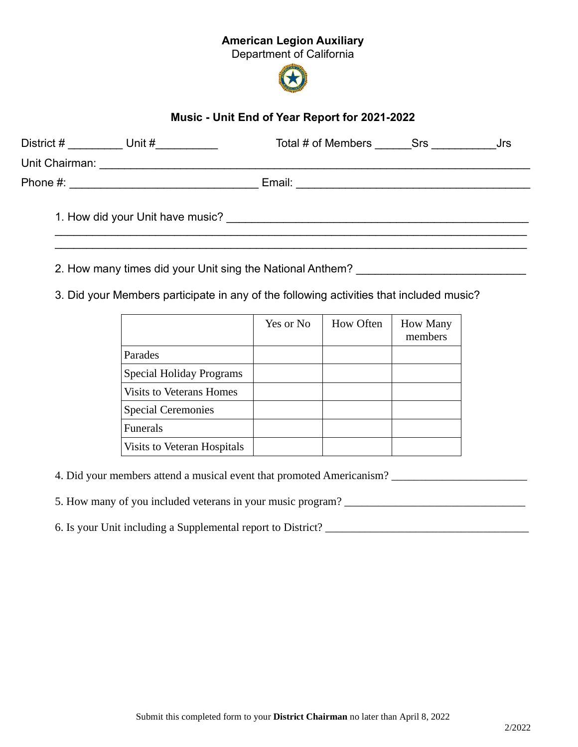## American Legion Auxiliary

Department of California



## Music - Unit End of Year Report for 2021-2022

| District #<br>Unit #               | Total # of Members Srs<br>Jrs |  |
|------------------------------------|-------------------------------|--|
| Unit Chairman: <b>Example 2019</b> |                               |  |
| Phone #:                           | Email:                        |  |
| 1. How did your Unit have music?   |                               |  |

2. How many times did your Unit sing the National Anthem? \_\_\_\_\_\_\_\_\_\_\_\_\_\_\_\_\_\_\_\_\_\_

3. Did your Members participate in any of the following activities that included music?

|                                 | Yes or No | <b>How Often</b> | <b>How Many</b><br>members |
|---------------------------------|-----------|------------------|----------------------------|
| Parades                         |           |                  |                            |
| Special Holiday Programs        |           |                  |                            |
| <b>Visits to Veterans Homes</b> |           |                  |                            |
| <b>Special Ceremonies</b>       |           |                  |                            |
| <b>Funerals</b>                 |           |                  |                            |
| Visits to Veteran Hospitals     |           |                  |                            |

4. Did your members attend a musical event that promoted Americanism? \_\_\_\_\_\_\_\_\_\_\_\_\_\_\_\_\_\_\_\_\_\_\_\_

5. How many of you included veterans in your music program? \_\_\_\_\_\_\_\_\_\_\_\_\_\_\_\_\_\_\_\_\_

6. Is your Unit including a Supplemental report to District? \_\_\_\_\_\_\_\_\_\_\_\_\_\_\_\_\_\_\_\_